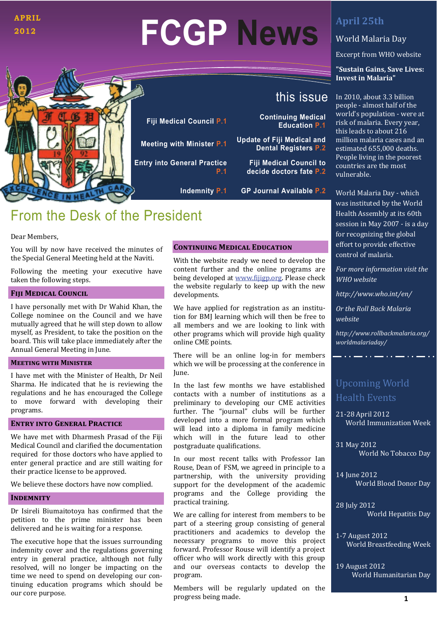### **APRIL 2012**

# **FCGP News**



**Fiji Medical Council P.1 Continuing Medical Meeting with Minister P.1 Update of Fiji Medical and Entry into General Practice**

**P.1**

## this issue

**Education P.1** 

**Dental Registers P.2** 

**Fiji Medical Council to decide doctors fate P.2** 

**Indemnity P.1 GP Journal Available P.2** 

## From the Desk of the President

#### Dear Members.

You will by now have received the minutes of the Special General Meeting held at the Naviti.

Following the meeting your executive have taken the following steps.

#### **FIJI MEDICAL COUNCIL**

I have personally met with Dr Wahid Khan, the College nominee on the Council and we have mutually agreed that he will step down to allow myself, as President, to take the position on the board. This will take place immediately after the Annual General Meeting in June.

#### **MEETING WITH MINISTER**

I have met with the Minister of Health, Dr Neil Sharma. He indicated that he is reviewing the regulations and he has encouraged the College to move forward with developing their programs. 

#### **ENTRY INTO GENERAL PRACTICE**

We have met with Dharmesh Prasad of the Fiji Medical Council and clarified the documentation required for those doctors who have applied to enter general practice and are still waiting for their practice license to be approved.

We believe these doctors have now complied.

#### **INDEMNITY**

Dr Isireli Biumaitotova has confirmed that the petition to the prime minister has been delivered and he is waiting for a response.

The executive hope that the issues surrounding indemnity cover and the regulations governing entry in general practice, although not fully resolved, will no longer be impacting on the time we need to spend on developing our continuing education programs which should be our core purpose.

#### **CONTINUING MEDICAL EDUCATION**

With the website ready we need to develop the content further and the online programs are being developed at www.fijigp.org. Please check the website regularly to keep up with the new developments.

We have applied for registration as an institution for BMJ learning which will then be free to all members and we are looking to link with other programs which will provide high quality online CME points.

There will be an online log-in for members which we will be processing at the conference in June. 

In the last few months we have established contacts with a number of institutions as a preliminary to developing our CME activities further. The "journal" clubs will be further developed into a more formal program which will lead into a diploma in family medicine which will in the future lead to other postgraduate qualifications.

In our most recent talks with Professor Ian Rouse, Dean of FSM, we agreed in principle to a partnership, with the university providing support for the development of the academic programs and the College providing the practical training.

We are calling for interest from members to be. part of a steering group consisting of general practitioners and academics to develop the necessary programs to move this project forward. Professor Rouse will identify a project officer who will work directly with this group and our overseas contacts to develop the program. 

Members will be regularly updated on the progress being made.

## **April 25th**

## World Malaria Day

Excerpt from WHO website

#### **"Sustain Gains, Save Lives: Invest in Malaria"**

In 2010, about 3.3 billion people - almost half of the world's population - were at risk of malaria. Every year, this leads to about 216 million malaria cases and an estimated 655,000 deaths. People living in the poorest countries are the most vulnerable. 

World Malaria Day - which was instituted by the World Health Assembly at its 60th session in May 2007 - is a day for recognizing the global effort to provide effective control of malaria.

*For more information visit the WHO website* 

*<http://www.who.int/en/>*

*Or the Roll Back Malaria website*

*[http://www.rollbackmalaria.org/](http://www.rollbackmalaria.org/worldmalariaday/) [worldmalariaday/](http://www.rollbackmalaria.org/worldmalariaday/)*

## Upcoming World Health Events

21-28 April 2012 World Immunization Week

31 May 2012 World No Tobacco Day

14 **June 2012** World Blood Donor Day

28 July 2012 World Hepatitis Day

1-7 August 2012 World Breastfeeding Week

19 August 2012 World Humanitarian Day